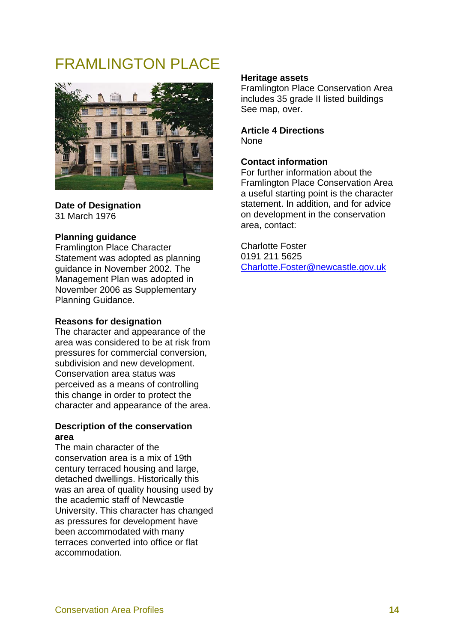# FRAMI INGTON PLACE



**Date of Designation**  31 March 1976

## **Planning guidance**

Framlington Place Character Statement was adopted as planning guidance in November 2002. The Management Plan was adopted in November 2006 as Supplementary Planning Guidance.

#### **Reasons for designation**

The character and appearance of the area was considered to be at risk from pressures for commercial conversion, subdivision and new development. Conservation area status was perceived as a means of controlling this change in order to protect the character and appearance of the area.

## **Description of the conservation area**

The main character of the conservation area is a mix of 19th century terraced housing and large, detached dwellings. Historically this was an area of quality housing used by the academic staff of Newcastle University. This character has changed as pressures for development have been accommodated with many terraces converted into office or flat accommodation.

#### **Heritage assets**

Framlington Place Conservation Area includes 35 grade II listed buildings See map, over.

**Article 4 Directions**  None

## **Contact information**

For further information about the Framlington Place Conservation Area a useful starting point is the character statement. In addition, and for advice on development in the conservation area, contact:

Charlotte Foster 0191 211 5625 Charlotte.Foster@newcastle.gov.uk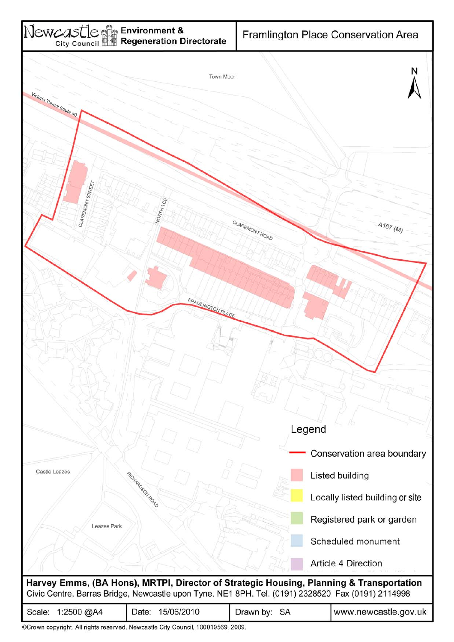

| Scale: 1:2500 @A4 | Date: 15/06/2010                                                               | Drawn by: SA | www.newcastle.gov.uk |
|-------------------|--------------------------------------------------------------------------------|--------------|----------------------|
|                   | ©Crown copyright. All rights reserved. Newcastle City Council. 100019569, 2009 |              |                      |

right. All rights reserved. Newcastle City Council, 100019569, 2009.